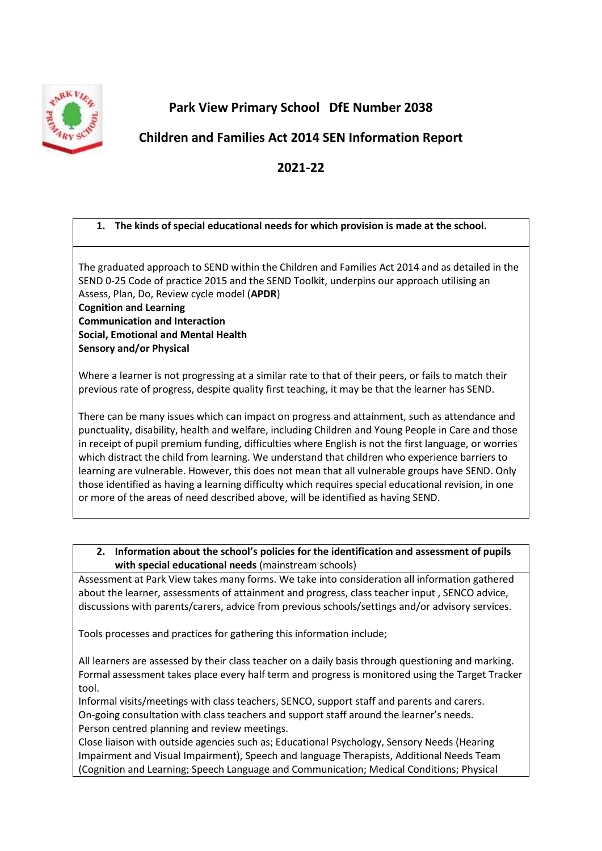

**Park View Primary School DfE Number 2038**

# **Children and Families Act 2014 SEN Information Report**

# **2021-22**

# **1. The kinds of special educational needs for which provision is made at the school.**

The graduated approach to SEND within the Children and Families Act 2014 and as detailed in the SEND 0-25 Code of practice 2015 and the SEND Toolkit, underpins our approach utilising an Assess, Plan, Do, Review cycle model (**APDR**)

**Cognition and Learning Communication and Interaction Social, Emotional and Mental Health Sensory and/or Physical**

Where a learner is not progressing at a similar rate to that of their peers, or fails to match their previous rate of progress, despite quality first teaching, it may be that the learner has SEND.

There can be many issues which can impact on progress and attainment, such as attendance and punctuality, disability, health and welfare, including Children and Young People in Care and those in receipt of pupil premium funding, difficulties where English is not the first language, or worries which distract the child from learning. We understand that children who experience barriers to learning are vulnerable. However, this does not mean that all vulnerable groups have SEND. Only those identified as having a learning difficulty which requires special educational revision, in one or more of the areas of need described above, will be identified as having SEND.

**2. Information about the school's policies for the identification and assessment of pupils with special educational needs** (mainstream schools)

Assessment at Park View takes many forms. We take into consideration all information gathered about the learner, assessments of attainment and progress, class teacher input , SENCO advice, discussions with parents/carers, advice from previous schools/settings and/or advisory services.

Tools processes and practices for gathering this information include;

All learners are assessed by their class teacher on a daily basis through questioning and marking. Formal assessment takes place every half term and progress is monitored using the Target Tracker tool.

Informal visits/meetings with class teachers, SENCO, support staff and parents and carers. On-going consultation with class teachers and support staff around the learner's needs. Person centred planning and review meetings.

Close liaison with outside agencies such as; Educational Psychology, Sensory Needs (Hearing Impairment and Visual Impairment), Speech and language Therapists, Additional Needs Team (Cognition and Learning; Speech Language and Communication; Medical Conditions; Physical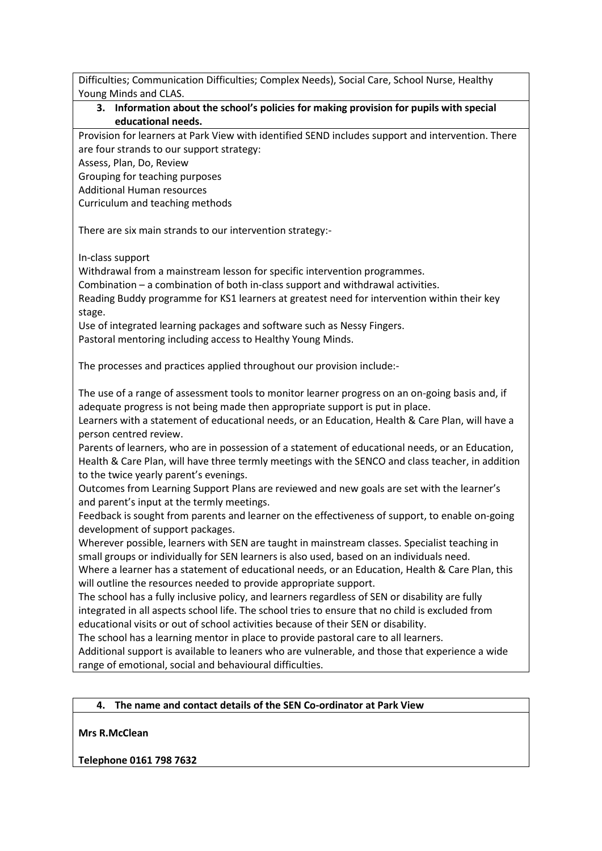Difficulties; Communication Difficulties; Complex Needs), Social Care, School Nurse, Healthy Young Minds and CLAS.

## **3. Information about the school's policies for making provision for pupils with special educational needs.**

Provision for learners at Park View with identified SEND includes support and intervention. There are four strands to our support strategy:

Assess, Plan, Do, Review

Grouping for teaching purposes

Additional Human resources

Curriculum and teaching methods

There are six main strands to our intervention strategy:-

In-class support

Withdrawal from a mainstream lesson for specific intervention programmes.

Combination – a combination of both in-class support and withdrawal activities.

Reading Buddy programme for KS1 learners at greatest need for intervention within their key stage.

Use of integrated learning packages and software such as Nessy Fingers.

Pastoral mentoring including access to Healthy Young Minds.

The processes and practices applied throughout our provision include:-

The use of a range of assessment tools to monitor learner progress on an on-going basis and, if adequate progress is not being made then appropriate support is put in place.

Learners with a statement of educational needs, or an Education, Health & Care Plan, will have a person centred review.

Parents of learners, who are in possession of a statement of educational needs, or an Education, Health & Care Plan, will have three termly meetings with the SENCO and class teacher, in addition to the twice yearly parent's evenings.

Outcomes from Learning Support Plans are reviewed and new goals are set with the learner's and parent's input at the termly meetings.

Feedback is sought from parents and learner on the effectiveness of support, to enable on-going development of support packages.

Wherever possible, learners with SEN are taught in mainstream classes. Specialist teaching in small groups or individually for SEN learners is also used, based on an individuals need.

Where a learner has a statement of educational needs, or an Education, Health & Care Plan, this will outline the resources needed to provide appropriate support.

The school has a fully inclusive policy, and learners regardless of SEN or disability are fully integrated in all aspects school life. The school tries to ensure that no child is excluded from educational visits or out of school activities because of their SEN or disability.

The school has a learning mentor in place to provide pastoral care to all learners.

Additional support is available to leaners who are vulnerable, and those that experience a wide range of emotional, social and behavioural difficulties.

# **4. The name and contact details of the SEN Co-ordinator at Park View**

**Mrs R.McClean**

**Telephone 0161 798 7632**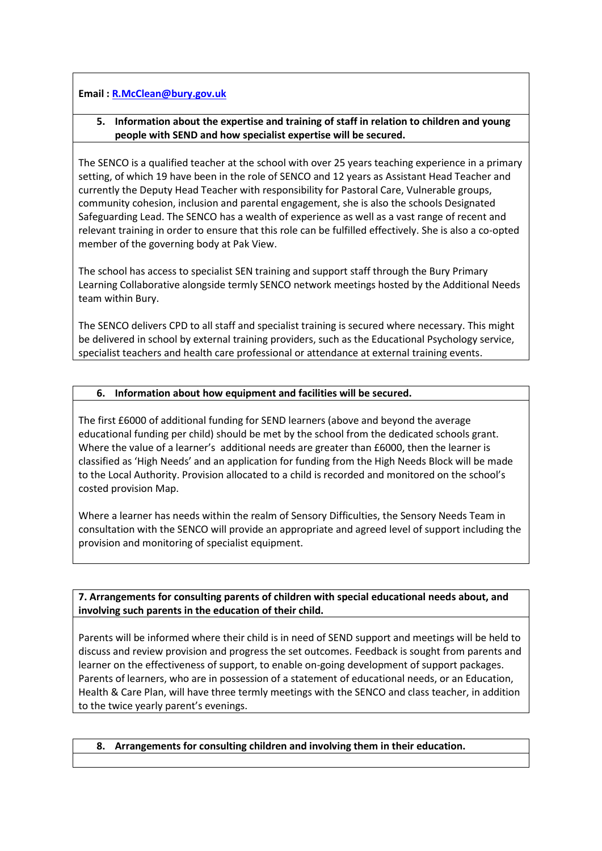#### **Email : [R.McClean@bury.gov.uk](mailto:R.McClean@bury.gov.uk)**

#### **5. Information about the expertise and training of staff in relation to children and young people with SEND and how specialist expertise will be secured.**

The SENCO is a qualified teacher at the school with over 25 years teaching experience in a primary setting, of which 19 have been in the role of SENCO and 12 years as Assistant Head Teacher and currently the Deputy Head Teacher with responsibility for Pastoral Care, Vulnerable groups, community cohesion, inclusion and parental engagement, she is also the schools Designated Safeguarding Lead. The SENCO has a wealth of experience as well as a vast range of recent and relevant training in order to ensure that this role can be fulfilled effectively. She is also a co-opted member of the governing body at Pak View.

The school has access to specialist SEN training and support staff through the Bury Primary Learning Collaborative alongside termly SENCO network meetings hosted by the Additional Needs team within Bury.

The SENCO delivers CPD to all staff and specialist training is secured where necessary. This might be delivered in school by external training providers, such as the Educational Psychology service, specialist teachers and health care professional or attendance at external training events.

#### **6. Information about how equipment and facilities will be secured.**

The first £6000 of additional funding for SEND learners (above and beyond the average educational funding per child) should be met by the school from the dedicated schools grant. Where the value of a learner's additional needs are greater than £6000, then the learner is classified as 'High Needs' and an application for funding from the High Needs Block will be made to the Local Authority. Provision allocated to a child is recorded and monitored on the school's costed provision Map.

Where a learner has needs within the realm of Sensory Difficulties, the Sensory Needs Team in consultation with the SENCO will provide an appropriate and agreed level of support including the provision and monitoring of specialist equipment.

**7. Arrangements for consulting parents of children with special educational needs about, and involving such parents in the education of their child.**

Parents will be informed where their child is in need of SEND support and meetings will be held to discuss and review provision and progress the set outcomes. Feedback is sought from parents and learner on the effectiveness of support, to enable on-going development of support packages. Parents of learners, who are in possession of a statement of educational needs, or an Education, Health & Care Plan, will have three termly meetings with the SENCO and class teacher, in addition to the twice yearly parent's evenings.

#### **8. Arrangements for consulting children and involving them in their education.**